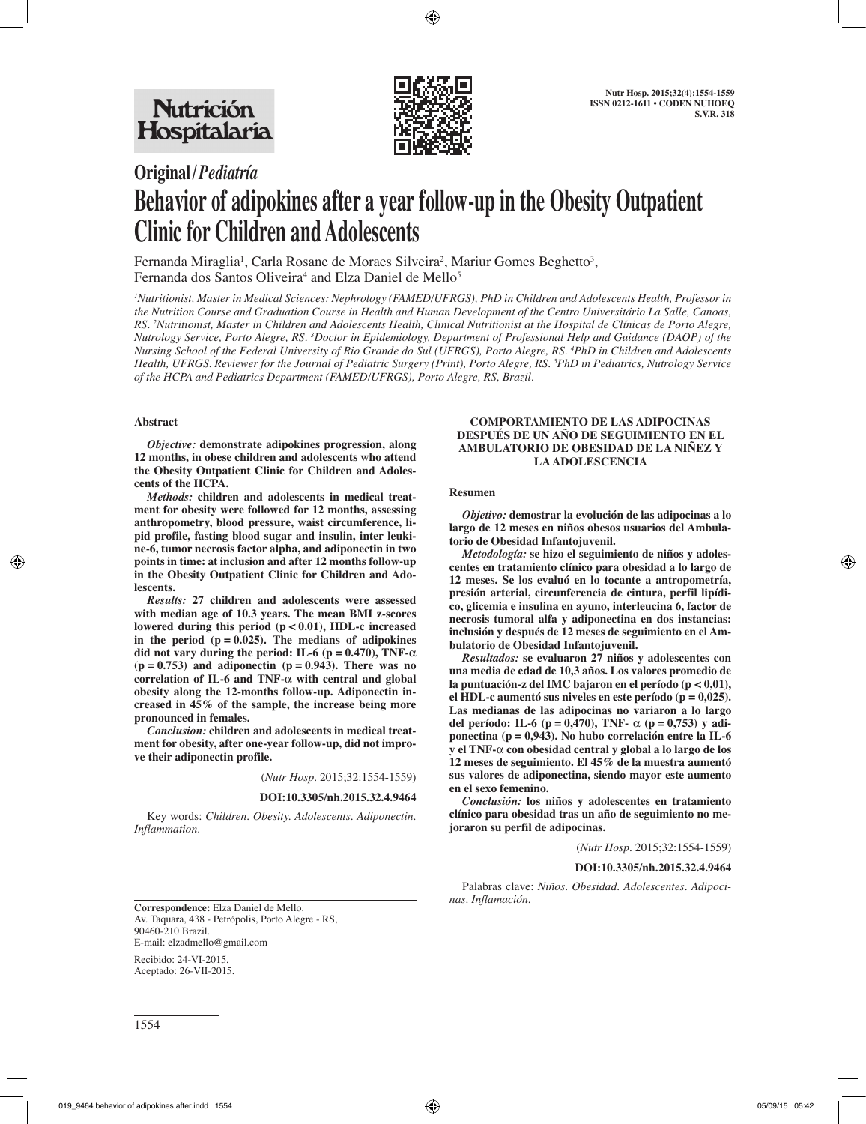

# **Original/***Pediatría*

# **Behavior of adipokines after a year follow-up in the Obesity Outpatient Clinic for Children and Adolescents**

Fernanda Miraglia<sup>1</sup>, Carla Rosane de Moraes Silveira<sup>2</sup>, Mariur Gomes Beghetto<sup>3</sup>, Fernanda dos Santos Oliveira<sup>4</sup> and Elza Daniel de Mello<sup>5</sup>

*1 Nutritionist, Master in Medical Sciences: Nephrology (FAMED/UFRGS), PhD in Children and Adolescents Health, Professor in the Nutrition Course and Graduation Course in Health and Human Development of the Centro Universitário La Salle, Canoas, RS. 2 Nutritionist, Master in Children and Adolescents Health, Clinical Nutritionist at the Hospital de Clínicas de Porto Alegre, Nutrology Service, Porto Alegre, RS. 3 Doctor in Epidemiology, Department of Professional Help and Guidance (DAOP) of the Nursing School of the Federal University of Rio Grande do Sul (UFRGS), Porto Alegre, RS. 4 PhD in Children and Adolescents Health, UFRGS. Reviewer for the Journal of Pediatric Surgery (Print), Porto Alegre, RS. 5 PhD in Pediatrics, Nutrology Service of the HCPA and Pediatrics Department (FAMED/UFRGS), Porto Alegre, RS, Brazil.*

# **Abstract**

*Objective:* **demonstrate adipokines progression, along 12 months, in obese children and adolescents who attend the Obesity Outpatient Clinic for Children and Adolescents of the HCPA.**

*Methods:* **children and adolescents in medical treatment for obesity were followed for 12 months, assessing anthropometry, blood pressure, waist circumference, lipid profile, fasting blood sugar and insulin, inter leukine-6, tumor necrosis factor alpha, and adiponectin in two points in time: at inclusion and after 12 months follow-up in the Obesity Outpatient Clinic for Children and Adolescents.**

*Results:* **27 children and adolescents were assessed with median age of 10.3 years. The mean BMI z-scores lowered during this period (p < 0.01), HDL-c increased**  in the period  $(p = 0.025)$ . The medians of adipokines **did not vary during the period: IL-6 (p =**  $0.470$ **), TNF-** $\alpha$ **(p = 0.753) and adiponectin (p = 0.943). There was no correlation of IL-6 and TNF-**α **with central and global obesity along the 12-months follow-up. Adiponectin increased in 45% of the sample, the increase being more pronounced in females.**

*Conclusion:* **children and adolescents in medical treatment for obesity, after one-year follow-up, did not improve their adiponectin profile.**

(*Nutr Hosp.* 2015;32:1554-1559)

#### **DOI:10.3305/nh.2015.32.4.9464**

Key words: *Children. Obesity. Adolescents. Adiponectin. Inflammation.*

#### **COMPORTAMIENTO DE LAS ADIPOCINAS DESPUÉS DE UN AÑO DE SEGUIMIENTO EN EL AMBULATORIO DE OBESIDAD DE LA NIÑEZ Y LA ADOLESCENCIA**

#### **Resumen**

*Objetivo:* **demostrar la evolución de las adipocinas a lo largo de 12 meses en niños obesos usuarios del Ambulatorio de Obesidad Infantojuvenil.**

*Metodología:* **se hizo el seguimiento de niños y adolescentes en tratamiento clínico para obesidad a lo largo de 12 meses. Se los evaluó en lo tocante a antropometría, presión arterial, circunferencia de cintura, perfil lipídico, glicemia e insulina en ayuno, interleucina 6, factor de necrosis tumoral alfa y adiponectina en dos instancias: inclusión y después de 12 meses de seguimiento en el Ambulatorio de Obesidad Infantojuvenil.**

*Resultados:* **se evaluaron 27 niños y adolescentes con una media de edad de 10,3 años. Los valores promedio de la puntuación-z del IMC bajaron en el período (p < 0,01), el HDL-c aumentó sus niveles en este período (p = 0,025). Las medianas de las adipocinas no variaron a lo largo del período: IL-6 (p = 0,470), TNF-** α **(p = 0,753) y adiponectina (p = 0,943). No hubo correlación entre la IL-6 y el TNF-**α **con obesidad central y global a lo largo de los 12 meses de seguimiento. El 45% de la muestra aumentó sus valores de adiponectina, siendo mayor este aumento en el sexo femenino.**

*Conclusión:* **los niños y adolescentes en tratamiento clínico para obesidad tras un año de seguimiento no mejoraron su perfil de adipocinas.**

(*Nutr Hosp.* 2015;32:1554-1559)

#### **DOI:10.3305/nh.2015.32.4.9464**

Palabras clave: *Niños. Obesidad. Adolescentes. Adipoci-*

*nas. Inflamación.* **Correspondence:** Elza Daniel de Mello. Av. Taquara, 438 - Petrópolis, Porto Alegre - RS, 90460-210 Brazil. E-mail: elzadmello@gmail.com

Recibido: 24-VI-2015. Aceptado: 26-VII-2015.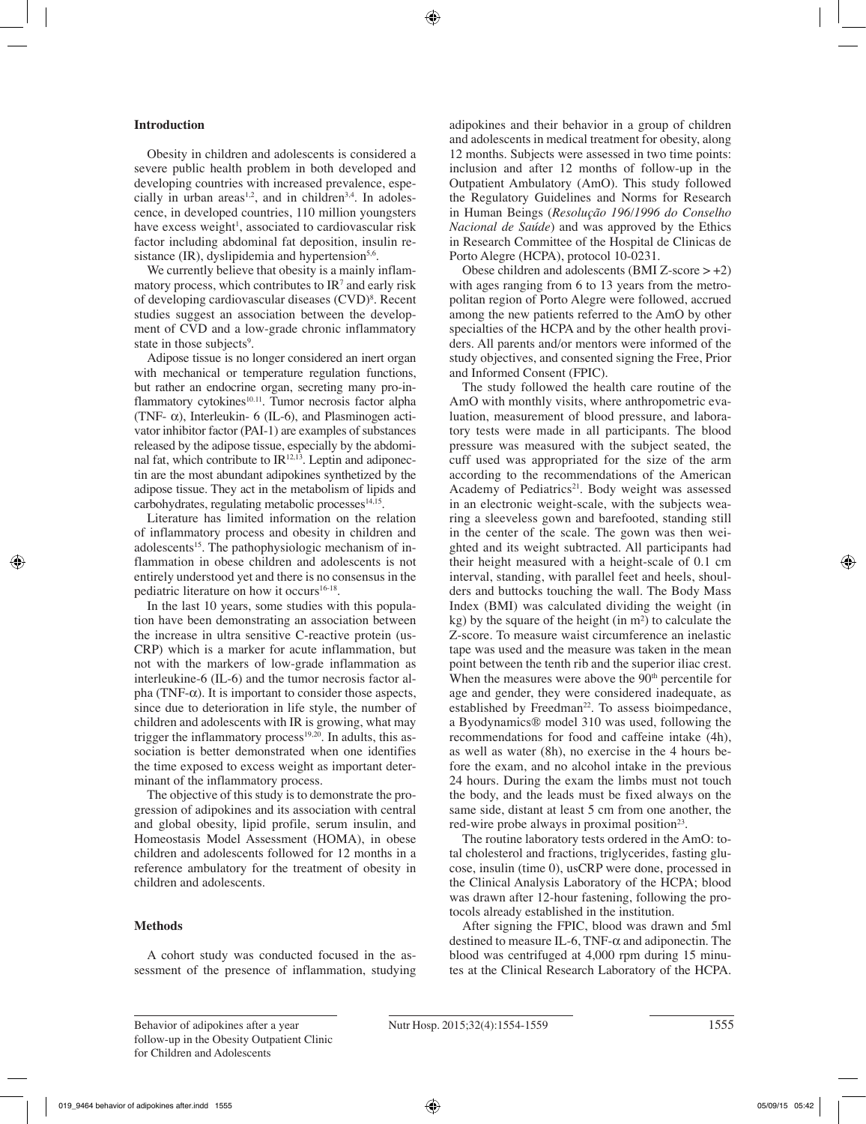# **Introduction**

Obesity in children and adolescents is considered a severe public health problem in both developed and developing countries with increased prevalence, especially in urban areas<sup>1,2</sup>, and in children<sup>3,4</sup>. In adolescence, in developed countries, 110 million youngsters have excess weight<sup>1</sup>, associated to cardiovascular risk factor including abdominal fat deposition, insulin resistance  $(IR)$ , dyslipidemia and hypertension<sup>5,6</sup>.

We currently believe that obesity is a mainly inflammatory process, which contributes to  $IR<sup>7</sup>$  and early risk of developing cardiovascular diseases (CVD)<sup>8</sup>. Recent studies suggest an association between the development of CVD and a low-grade chronic inflammatory state in those subjects<sup>9</sup>.

Adipose tissue is no longer considered an inert organ with mechanical or temperature regulation functions, but rather an endocrine organ, secreting many pro-inflammatory cytokines<sup>10.11</sup>. Tumor necrosis factor alpha (TNF- $\alpha$ ), Interleukin- 6 (IL-6), and Plasminogen activator inhibitor factor (PAI-1) are examples of substances released by the adipose tissue, especially by the abdominal fat, which contribute to  $IR^{12,13}$ . Leptin and adiponectin are the most abundant adipokines synthetized by the adipose tissue. They act in the metabolism of lipids and  $carbo$ hydrates, regulating metabolic processes $14,15$ .

Literature has limited information on the relation of inflammatory process and obesity in children and adolescents<sup>15</sup>. The pathophysiologic mechanism of inflammation in obese children and adolescents is not entirely understood yet and there is no consensus in the pediatric literature on how it occurs<sup>16-18</sup>.

In the last 10 years, some studies with this population have been demonstrating an association between the increase in ultra sensitive C-reactive protein (us-CRP) which is a marker for acute inflammation, but not with the markers of low-grade inflammation as interleukine-6 (IL-6) and the tumor necrosis factor alpha (TNF- $\alpha$ ). It is important to consider those aspects, since due to deterioration in life style, the number of children and adolescents with IR is growing, what may trigger the inflammatory process $19,20$ . In adults, this association is better demonstrated when one identifies the time exposed to excess weight as important determinant of the inflammatory process.

The objective of this study is to demonstrate the progression of adipokines and its association with central and global obesity, lipid profile, serum insulin, and Homeostasis Model Assessment (HOMA), in obese children and adolescents followed for 12 months in a reference ambulatory for the treatment of obesity in children and adolescents.

#### **Methods**

A cohort study was conducted focused in the assessment of the presence of inflammation, studying adipokines and their behavior in a group of children and adolescents in medical treatment for obesity, along 12 months. Subjects were assessed in two time points: inclusion and after 12 months of follow-up in the Outpatient Ambulatory (AmO). This study followed the Regulatory Guidelines and Norms for Research in Human Beings (*Resolução 196/1996 do Conselho Nacional de Saúde*) and was approved by the Ethics in Research Committee of the Hospital de Clinicas de Porto Alegre (HCPA), protocol 10-0231.

Obese children and adolescents (BMI Z-score  $> +2$ ) with ages ranging from 6 to 13 years from the metropolitan region of Porto Alegre were followed, accrued among the new patients referred to the AmO by other specialties of the HCPA and by the other health providers. All parents and/or mentors were informed of the study objectives, and consented signing the Free, Prior and Informed Consent (FPIC).

The study followed the health care routine of the AmO with monthly visits, where anthropometric evaluation, measurement of blood pressure, and laboratory tests were made in all participants. The blood pressure was measured with the subject seated, the cuff used was appropriated for the size of the arm according to the recommendations of the American Academy of Pediatrics<sup>21</sup>. Body weight was assessed in an electronic weight-scale, with the subjects wearing a sleeveless gown and barefooted, standing still in the center of the scale. The gown was then weighted and its weight subtracted. All participants had their height measured with a height-scale of 0.1 cm interval, standing, with parallel feet and heels, shoulders and buttocks touching the wall. The Body Mass Index (BMI) was calculated dividing the weight (in  $kg$ ) by the square of the height (in m<sup>2</sup>) to calculate the Z-score. To measure waist circumference an inelastic tape was used and the measure was taken in the mean point between the tenth rib and the superior iliac crest. When the measures were above the 90<sup>th</sup> percentile for age and gender, they were considered inadequate, as established by Freedman<sup>22</sup>. To assess bioimpedance, a Byodynamics® model 310 was used, following the recommendations for food and caffeine intake (4h), as well as water (8h), no exercise in the 4 hours before the exam, and no alcohol intake in the previous 24 hours. During the exam the limbs must not touch the body, and the leads must be fixed always on the same side, distant at least 5 cm from one another, the red-wire probe always in proximal position<sup>23</sup>.

The routine laboratory tests ordered in the AmO: total cholesterol and fractions, triglycerides, fasting glucose, insulin (time 0), usCRP were done, processed in the Clinical Analysis Laboratory of the HCPA; blood was drawn after 12-hour fastening, following the protocols already established in the institution.

After signing the FPIC, blood was drawn and 5ml destined to measure IL-6, TNF- $\alpha$  and adiponectin. The blood was centrifuged at 4,000 rpm during 15 minutes at the Clinical Research Laboratory of the HCPA.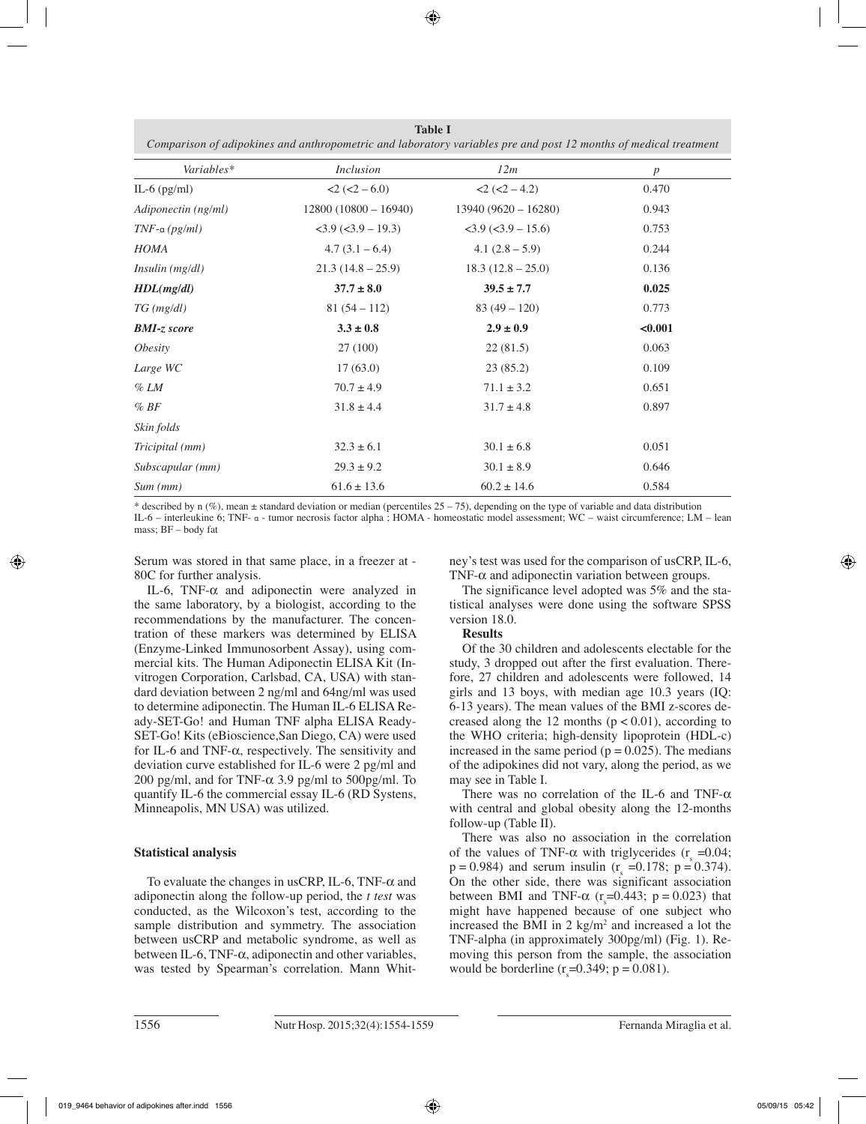**Table I** *Comparison of adipokines and anthropometric and laboratory variables pre and post 12 months of medical treatment*

| Variables*            | <i>Inclusion</i>          | 12m                                                | $\boldsymbol{p}$ |
|-----------------------|---------------------------|----------------------------------------------------|------------------|
| IL-6 $(pg/ml)$        | $2 (-2 - 6.0)$            | $2 (-2 - 4.2)$                                     | 0.470            |
| Adiponectin (ng/ml)   | $12800 (10800 - 16940)$   | $13940 (9620 - 16280)$                             | 0.943            |
| $TNF$ -a (pg/ml)      | $<$ 3.9 ( $<$ 3.9 – 19.3) | $\langle 3.9 \rangle (\langle 3.9 - 15.6 \rangle)$ | 0.753            |
| <b>HOMA</b>           | $4.7(3.1-6.4)$            | 4.1 $(2.8 - 5.9)$                                  | 0.244            |
| Insulin (mg/dl)       | $21.3(14.8-25.9)$         | $18.3(12.8-25.0)$                                  | 0.136            |
| HDL(mg/dl)            | $37.7 \pm 8.0$            | $39.5 \pm 7.7$                                     | 0.025            |
| $TG$ (mg/dl)          | $81(54-112)$              | $83(49-120)$                                       | 0.773            |
| <b>BMI-z</b> score    | $3.3 \pm 0.8$             | $2.9 \pm 0.9$                                      | < 0.001          |
| <i><b>Obesity</b></i> | 27 (100)                  | 22(81.5)                                           | 0.063            |
| Large WC              | 17(63.0)                  | 23(85.2)                                           | 0.109            |
| % LM                  | $70.7 \pm 4.9$            | $71.1 \pm 3.2$                                     | 0.651            |
| %BF                   | $31.8 \pm 4.4$            | $31.7 \pm 4.8$                                     | 0.897            |
| Skin folds            |                           |                                                    |                  |
| Tricipital (mm)       | $32.3 \pm 6.1$            | $30.1 \pm 6.8$                                     | 0.051            |
| Subscapular (mm)      | $29.3 \pm 9.2$            | $30.1 \pm 8.9$                                     | 0.646            |
| Sum(mm)               | $61.6 \pm 13.6$           | $60.2 \pm 14.6$                                    | 0.584            |

\* described by n  $(\%)$ , mean  $\pm$  standard deviation or median (percentiles 25 – 75), depending on the type of variable and data distribution IL-6 – interleukine 6; TNF- α - tumor necrosis factor alpha ; HOMA - homeostatic model assessment; WC – waist circumference; LM – lean mass; BF – body fat

Serum was stored in that same place, in a freezer at - 80C for further analysis.

IL-6, TNF- $\alpha$  and adiponectin were analyzed in the same laboratory, by a biologist, according to the recommendations by the manufacturer. The concentration of these markers was determined by ELISA (Enzyme-Linked Immunosorbent Assay), using commercial kits. The Human Adiponectin ELISA Kit (Invitrogen Corporation, Carlsbad, CA, USA) with standard deviation between 2 ng/ml and 64ng/ml was used to determine adiponectin. The Human IL-6 ELISA Ready-SET-Go! and Human TNF alpha ELISA Ready-SET-Go! Kits (eBioscience,San Diego, CA) were used for IL-6 and TNF-α, respectively. The sensitivity and deviation curve established for IL-6 were 2 pg/ml and 200 pg/ml, and for TNF-α 3.9 pg/ml to 500pg/ml. To quantify IL-6 the commercial essay IL-6 (RD Systens, Minneapolis, MN USA) was utilized.

# **Statistical analysis**

To evaluate the changes in usCRP, IL-6, TNF- $\alpha$  and adiponectin along the follow-up period, the *t test* was conducted, as the Wilcoxon's test, according to the sample distribution and symmetry. The association between usCRP and metabolic syndrome, as well as between IL-6, TNF-α, adiponectin and other variables, was tested by Spearman's correlation. Mann Whitney's test was used for the comparison of usCRP, IL-6, TNF- $\alpha$  and adiponectin variation between groups.

The significance level adopted was 5% and the statistical analyses were done using the software SPSS version 18.0.

# **Results**

Of the 30 children and adolescents electable for the study, 3 dropped out after the first evaluation. Therefore, 27 children and adolescents were followed, 14 girls and 13 boys, with median age 10.3 years (IQ: 6-13 years). The mean values of the BMI z-scores decreased along the 12 months ( $p < 0.01$ ), according to the WHO criteria; high-density lipoprotein (HDL-c) increased in the same period ( $p = 0.025$ ). The medians of the adipokines did not vary, along the period, as we may see in Table I.

There was no correlation of the IL-6 and TNF- $\alpha$ with central and global obesity along the 12-months follow-up (Table II).

There was also no association in the correlation of the values of TNF- $\alpha$  with triglycerides (r<sub>s</sub> =0.04;  $p = 0.984$ ) and serum insulin ( $r_s = 0.178$ ;  $p = 0.374$ ). On the other side, there was significant association between BMI and TNF- $\alpha$  (r<sub>s</sub>=0.443; p = 0.023) that might have happened because of one subject who increased the BMI in  $2 \text{ kg/m}^2$  and increased a lot the TNF-alpha (in approximately 300pg/ml) (Fig. 1). Removing this person from the sample, the association would be borderline  $(r_s=0.349; p = 0.081)$ .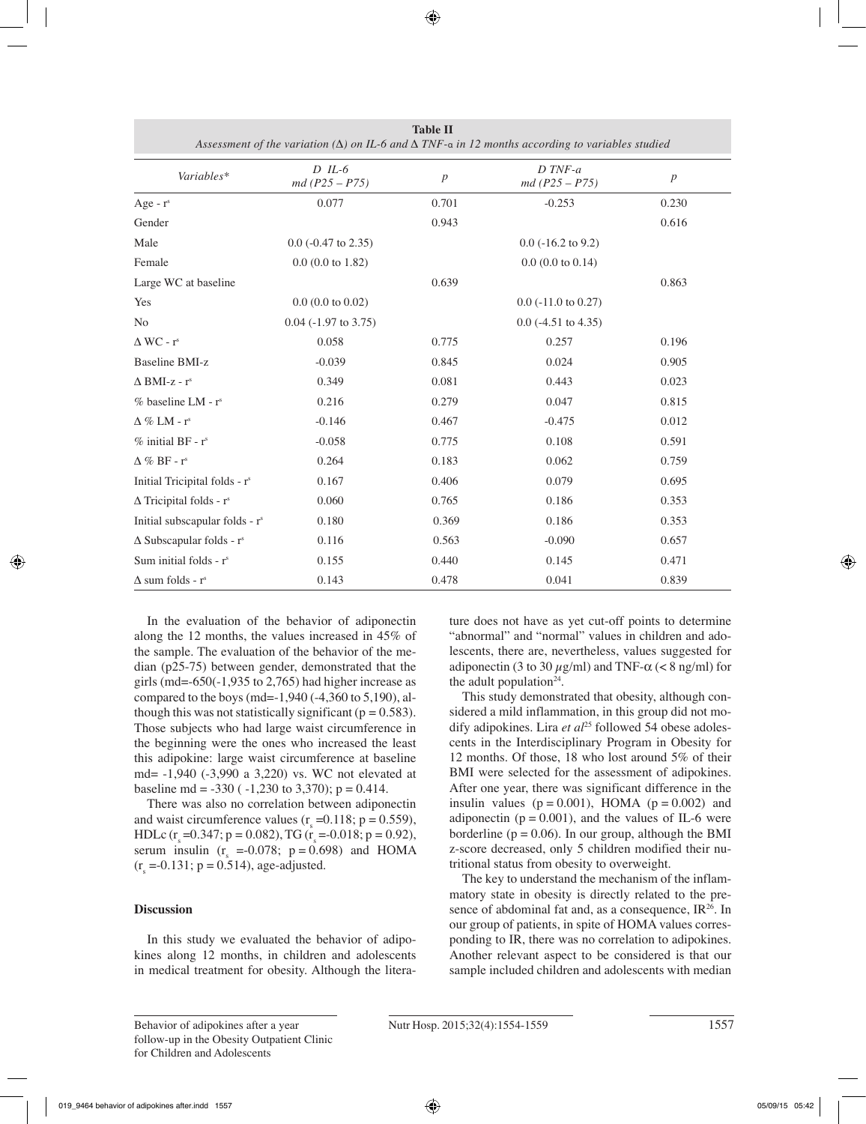| Variables*                                  | $D$ IL-6<br>$md(P25 - P75)$ | $\boldsymbol{p}$      | $D$ TNF- $a$<br>$md(P25 - P75)$ | $\boldsymbol{p}$ |
|---------------------------------------------|-----------------------------|-----------------------|---------------------------------|------------------|
| Age - $r^s$                                 | 0.077                       | 0.701                 | $-0.253$                        | 0.230            |
| Gender                                      |                             | 0.943                 |                                 | 0.616            |
| Male                                        | $0.0$ (-0.47 to 2.35)       |                       | $0.0$ ( $-16.2$ to $9.2$ )      |                  |
| Female                                      | $0.0$ (0.0 to 1.82)         |                       | $0.0$ (0.0 to 0.14)             |                  |
| Large WC at baseline                        |                             | 0.639                 |                                 | 0.863            |
| Yes                                         | $0.0$ (0.0 to 0.02)         | $0.0$ (-11.0 to 0.27) |                                 |                  |
| N <sub>0</sub>                              | $0.04$ ( $-1.97$ to 3.75)   |                       | $0.0$ (-4.51 to 4.35)           |                  |
| $\Delta$ WC - $r^s$                         | 0.058                       | 0.775                 | 0.257                           | 0.196            |
| <b>Baseline BMI-z</b>                       | $-0.039$                    | 0.845                 | 0.024                           | 0.905            |
| $\triangle$ BMI-z - r <sup>s</sup>          | 0.349                       | 0.081                 | 0.443                           | 0.023            |
| % baseline LM - r <sup>s</sup>              | 0.216                       | 0.279                 | 0.047                           | 0.815            |
| $\Delta \%$ LM - $r^s$                      | $-0.146$                    | 0.467                 | $-0.475$                        | 0.012            |
| $%$ initial BF - $rs$                       | $-0.058$                    | 0.775                 | 0.108                           | 0.591            |
| $\triangle$ % BF - r <sup>s</sup>           | 0.264                       | 0.183                 | 0.062                           | 0.759            |
| Initial Tricipital folds - r <sup>s</sup>   | 0.167                       | 0.406                 | 0.079                           | 0.695            |
| $\Delta$ Tricipital folds - r <sup>s</sup>  | 0.060                       | 0.765                 | 0.186                           | 0.353            |
| Initial subscapular folds - r <sup>s</sup>  | 0.180                       | 0.369                 | 0.186                           | 0.353            |
| $\Delta$ Subscapular folds - r <sup>s</sup> | 0.116                       | 0.563                 | $-0.090$                        | 0.657            |
| Sum initial folds - r <sup>s</sup>          | 0.155                       | 0.440                 | 0.145                           | 0.471            |
| $\Delta$ sum folds - r <sup>s</sup>         | 0.143                       | 0.478                 | 0.041                           | 0.839            |

**Table II** *Assessment of the variation (Δ) on IL-6 and Δ TNF-*α *in 12 months according to variables studied*

In the evaluation of the behavior of adiponectin along the 12 months, the values increased in 45% of the sample. The evaluation of the behavior of the median (p25-75) between gender, demonstrated that the girls (md= $-650(-1,935)$  to 2,765) had higher increase as compared to the boys (md=-1,940 (-4,360 to 5,190), although this was not statistically significant ( $p = 0.583$ ). Those subjects who had large waist circumference in the beginning were the ones who increased the least this adipokine: large waist circumference at baseline md= -1,940 (-3,990 a 3,220) vs. WC not elevated at baseline md =  $-330$  ( $-1,230$  to 3,370); p = 0.414.

There was also no correlation between adiponectin and waist circumference values  $(r<sub>s</sub> = 0.118; p = 0.559)$ , HDLc  $(r<sub>s</sub>=0.347; p = 0.082)$ , TG  $(r<sub>s</sub>=0.018; p = 0.92)$ , serum insulin  $(r<sub>s</sub> = -0.078; p = 0.698)$  and HOMA  $(r<sub>s</sub> = -0.131; p = 0.514)$ , age-adjusted.

# **Discussion**

In this study we evaluated the behavior of adipokines along 12 months, in children and adolescents in medical treatment for obesity. Although the literature does not have as yet cut-off points to determine "abnormal" and "normal" values in children and adolescents, there are, nevertheless, values suggested for adiponectin (3 to 30  $\mu$ g/ml) and TNF- $\alpha$  (< 8 ng/ml) for the adult population<sup>24</sup>.

This study demonstrated that obesity, although considered a mild inflammation, in this group did not modify adipokines. Lira et al<sup>25</sup> followed 54 obese adolescents in the Interdisciplinary Program in Obesity for 12 months. Of those, 18 who lost around 5% of their BMI were selected for the assessment of adipokines. After one year, there was significant difference in the insulin values  $(p = 0.001)$ , HOMA  $(p = 0.002)$  and adiponectin ( $p = 0.001$ ), and the values of IL-6 were borderline ( $p = 0.06$ ). In our group, although the BMI z-score decreased, only 5 children modified their nutritional status from obesity to overweight.

The key to understand the mechanism of the inflammatory state in obesity is directly related to the presence of abdominal fat and, as a consequence,  $IR^{26}$ . In our group of patients, in spite of HOMA values corresponding to IR, there was no correlation to adipokines. Another relevant aspect to be considered is that our sample included children and adolescents with median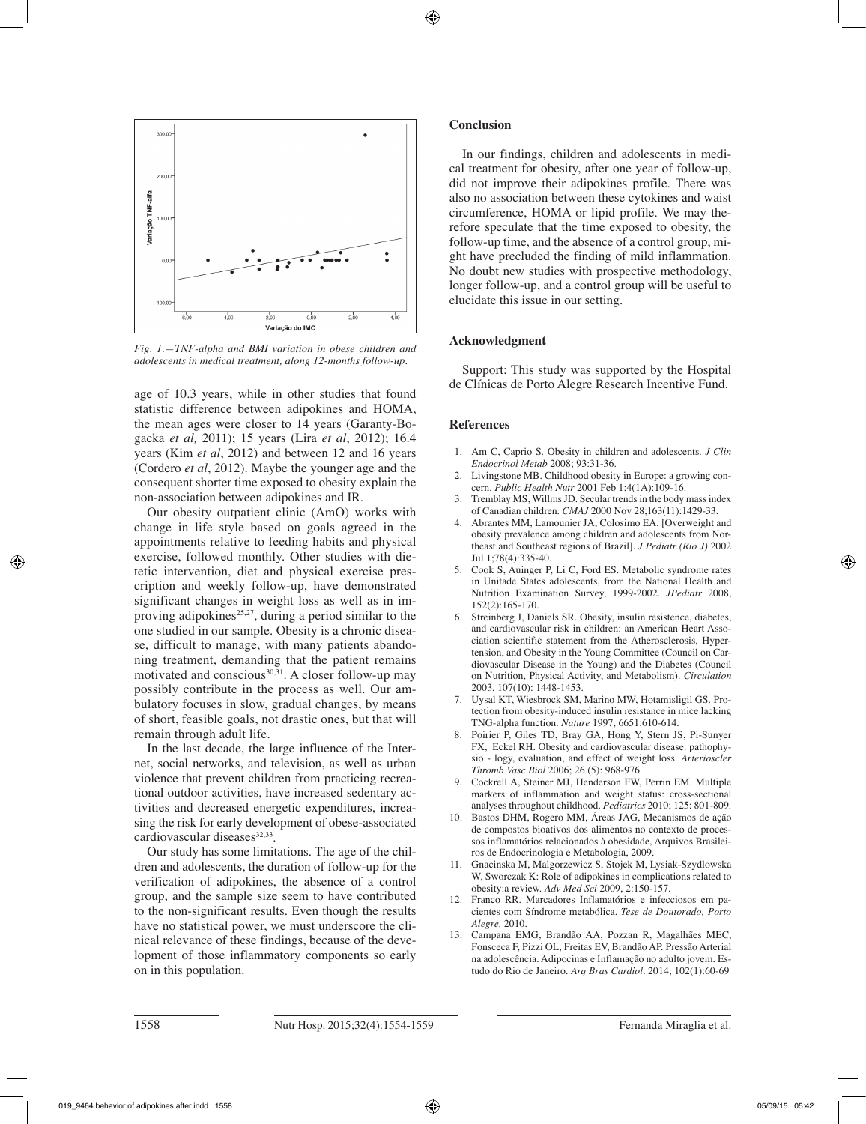

*Fig. 1.—TNF-alpha and BMI variation in obese children and adolescents in medical treatment, along 12-months follow-up.*

age of 10.3 years, while in other studies that found statistic difference between adipokines and HOMA, the mean ages were closer to 14 years (Garanty-Bogacka *et al,* 2011); 15 years (Lira *et al*, 2012); 16.4 years (Kim *et al*, 2012) and between 12 and 16 years (Cordero *et al*, 2012). Maybe the younger age and the consequent shorter time exposed to obesity explain the non-association between adipokines and IR.

Our obesity outpatient clinic (AmO) works with change in life style based on goals agreed in the appointments relative to feeding habits and physical exercise, followed monthly. Other studies with dietetic intervention, diet and physical exercise prescription and weekly follow-up, have demonstrated significant changes in weight loss as well as in improving adipokines<sup>25,27</sup>, during a period similar to the one studied in our sample. Obesity is a chronic disease, difficult to manage, with many patients abandoning treatment, demanding that the patient remains motivated and conscious<sup>30,31</sup>. A closer follow-up may possibly contribute in the process as well. Our ambulatory focuses in slow, gradual changes, by means of short, feasible goals, not drastic ones, but that will remain through adult life.

In the last decade, the large influence of the Internet, social networks, and television, as well as urban violence that prevent children from practicing recreational outdoor activities, have increased sedentary activities and decreased energetic expenditures, increasing the risk for early development of obese-associated  $cardiovacular diseases<sup>32,33</sup>$ .

Our study has some limitations. The age of the children and adolescents, the duration of follow-up for the verification of adipokines, the absence of a control group, and the sample size seem to have contributed to the non-significant results. Even though the results have no statistical power, we must underscore the clinical relevance of these findings, because of the development of those inflammatory components so early on in this population.

## **Conclusion**

In our findings, children and adolescents in medical treatment for obesity, after one year of follow-up, did not improve their adipokines profile. There was also no association between these cytokines and waist circumference, HOMA or lipid profile. We may therefore speculate that the time exposed to obesity, the follow-up time, and the absence of a control group, might have precluded the finding of mild inflammation. No doubt new studies with prospective methodology, longer follow-up, and a control group will be useful to elucidate this issue in our setting.

# **Acknowledgment**

Support: This study was supported by the Hospital de Clínicas de Porto Alegre Research Incentive Fund.

## **References**

- 1. Am C, Caprio S. Obesity in children and adolescents. *J Clin Endocrinol Metab* 2008; 93:31-36.
- 2. Livingstone MB. Childhood obesity in Europe: a growing concern. *Public Health Nutr* 2001 Feb 1;4(1A):109-16.
- 3. Tremblay MS, Willms JD. Secular trends in the body mass index of Canadian children. *CMAJ* 2000 Nov 28;163(11):1429-33.
- 4. Abrantes MM, Lamounier JA, Colosimo EA. [Overweight and obesity prevalence among children and adolescents from Northeast and Southeast regions of Brazil]. *J Pediatr (Rio J)* 2002 Jul 1;78(4):335-40.
- 5. Cook S, Auinger P, Li C, Ford ES. Metabolic syndrome rates in Unitade States adolescents, from the National Health and Nutrition Examination Survey, 1999-2002. *JPediatr* 2008, 152(2):165-170.
- 6. Streinberg J, Daniels SR. Obesity, insulin resistence, diabetes, and cardiovascular risk in children: an American Heart Association scientific statement from the Atherosclerosis, Hypertension, and Obesity in the Young Committee (Council on Cardiovascular Disease in the Young) and the Diabetes (Council on Nutrition, Physical Activity, and Metabolism). *Circulation* 2003, 107(10): 1448-1453.
- 7. Uysal KT, Wiesbrock SM, Marino MW, Hotamisligil GS. Protection from obesity-induced insulin resistance in mice lacking TNG-alpha function. *Nature* 1997, 6651:610-614.
- 8. Poirier P, Giles TD, Bray GA, Hong Y, Stern JS, Pi-Sunyer FX, Eckel RH. Obesity and cardiovascular disease: pathophysio - logy, evaluation, and effect of weight loss. *Arterioscler Thromb Vasc Biol* 2006; 26 (5): 968-976.
- 9. Cockrell A, Steiner MJ, Henderson FW, Perrin EM. Multiple markers of inflammation and weight status: cross-sectional analyses throughout childhood. *Pediatrics* 2010; 125: 801-809.
- 10. Bastos DHM, Rogero MM, Áreas JAG, Mecanismos de ação de compostos bioativos dos alimentos no contexto de processos inflamatórios relacionados à obesidade, Arquivos Brasileiros de Endocrinologia e Metabologia, 2009.
- 11. Gnacinska M, Malgorzewicz S, Stojek M, Lysiak-Szydlowska W, Sworczak K: Role of adipokines in complications related to obesity:a review. *Adv Med Sci* 2009, 2:150-157.
- 12. Franco RR. Marcadores Inflamatórios e infecciosos em pacientes com Síndrome metabólica. *Tese de Doutorado, Porto Alegre,* 2010.
- 13. Campana EMG, Brandão AA, Pozzan R, Magalhães MEC, Fonsceca F, Pizzi OL, Freitas EV, Brandão AP. Pressão Arterial na adolescência. Adipocinas e Inflamação no adulto jovem. Estudo do Rio de Janeiro. *Arq Bras Cardiol.* 2014; 102(1):60-69